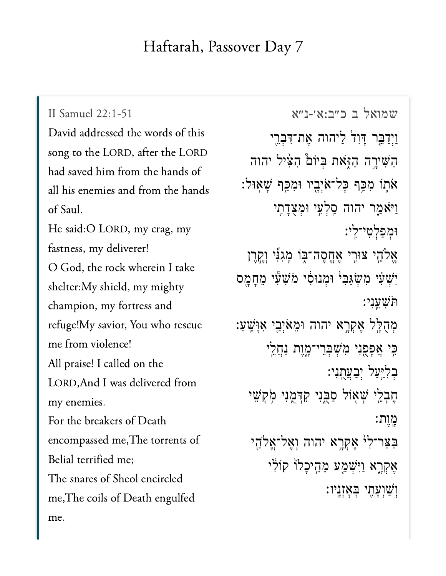## Haftarah, Passover Day 7

[שמואל ב כ״ב:א׳-נ״א](https://www.sefaria.org/II%20Samuel%2022:1-51) [22:1-51 Samuel II](https://www.sefaria.org/II%20Samuel%2022:1-51) David addressed the words of this song to the LORD, after the LORD had saved him from the hands of all his enemies and from the hands of Saul. He said:O LORD, my crag, my fastness, my deliverer! O God, the rock wherein I take shelter:My shield, my mighty champion, my fortress and refuge!My savior, You who rescue me from violence! All praise! I called on the LORD,And I was delivered from my enemies. For the breakers of Death encompassed me,The torrents of Belial terrified me; The snares of Sheol encircled me,The coils of Death engulfed me.

וַיִדַּבֵּר דַּוְד<sup>ַי</sup> לַיהוה אֱת־דִּבְרֵי הַשִּׁירֶה הַזְּאת בִּיוֹם הָצִיל יהוה ֿאֹתֶוֹ מִכַּף כָּל־אֹיָבֶיו וּמִכֵּף שָׁאוּל: וַיֹּאמֵר יהוה סֵקִיעֵי וּמְצְדַתֵי ּוּמְפַלְטְי־לֵי: אֵלֹהֵי צוּרֵי אֶחֱסֶה־בֶּוֹ מְגִ<sup>ּצֶ</sup>י וְקֵרֶן יִשְׁעָ*ּי מְעֲגַּבְי* וּמְנוּסִי מֹּשָׁעָּי מֵחַמֵּס ֹּת ִׁש ֵֽעִנ י׃ ּמְהָלֵל אֵקְרֵא יהוה וּמֵאֹיָבֵי אִוַּשֵׁעַ:  $\cdot$ יְאֲפָפֶנִי מִשְׁבְּרֵי־מֱוֶת נַחֲלֵי בִלְיֵּעַל יִבַעֲתֲנִי: חֵבִלֵי שִׁאָוֹל סַבְּנִי קִדְּמֻנִי מְקְשֵׁי ָמוַת: ַּבַצַר־לִי אֶקְרֶא יהוה וְאֶל־אֱלֹהָי אֵקְרָא וַיִּ**ּשְׁמֵע מֵהֵיכָלוֹ** קוֹלִי וְשַׁוְעַתֵי בִּאֲזְנֵיו: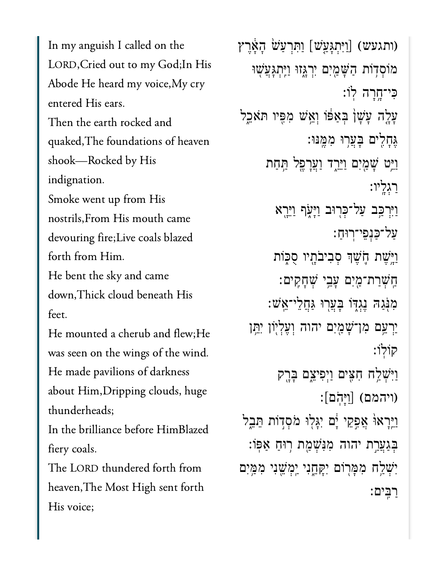In my anguish I called on the LORD,Cried out to my God;In His Abode He heard my voice,My cry entered His ears. Then the earth rocked and quaked,The foundations of heaven shook—Rocked by His indignation. Smoke went up from His nostrils,From His mouth came

devouring fire;Live coals blazed forth from Him. He bent the sky and came

down,Thick cloud beneath His feet.

He mounted a cherub and flew;He was seen on the wings of the wind. He made pavilions of darkness about Him,Dripping clouds, huge thunderheads;

In the brilliance before HimBlazed fiery coals.

The LORD thundered forth from heaven,The Most High sent forth His voice;

וּחָרִעַּשׁ הָאָרֵץ) (וותגעש: [יַחְגָעֲשׁ] וַחְרִעַ*יֹ*ש מוֹסְדִוֹת הַשָּׁמַיִם יִרְגָּזוּ וַיֵּתְגָּעֲשָׁוּ ִּכי־ָ֥חָרה ֽלֹו׃ עְלֶה עָשָׁן בְאַפּֿו וְאֵֽשׁ מִפִּיו תּאֹכֵל ֶּגָחִ֖לים ָּבֲע֥רּו ִמֶּֽמּנּו׃ ַוֵּ֥יט ָׁשַ֖מִים ַוֵּיַ֑רד ַוֲעָרֶ֖פל ַּ֥תַחת ַרְגָֽליו׃ וַיִּרְכָּ֑ב עַל־כְּרְוּב וַיָּעָׂף וַיֵּרֵא ַעל־ַּכְנֵפי־ֽרּוַח׃ וַיֵּשֵׁת הָעֵׁךְ סִבְיִבֹתָיו סָכְוֹת ַֽחְׁשַרת־ַ֖מִים ָעֵ֥בי ְׁשָחִֽקים׃ ִמֹּ֖נַגּה ֶנְגּ֑דֹו ָּבֲע֖רּו ַּגֲחֵלי־ֵֽאׁש׃ יַרְעֵם מְן־שָׁמַיִם יהוה וְעֵלְיִוֹן יִתֵּן קֹוֽלֹו׃ וַיִּשְׁלֵח חָצִים וַיִפִיצֵם בָּרֶק ויהמם)  $[$ וַיָּהֹם $]$ ַוַּיֵּרָאוּ֫ אֲפֶקֵי יָם יִגָּלְוּ מֹסִדְוֹת תֵּבֵל ּבְּגַעֲרָת יהוה מִנִּּשָׁמַת רִוּחַ אַפּוֹ: יִּשְׁלַח מִמַּרִוֹּם יִקְחֵנִי יִמְ*יֹ*שֵׁנִי מִמְּיִם ַרִּֽבים׃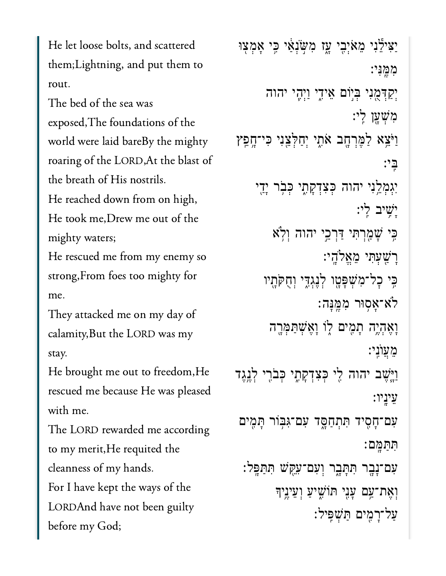He let loose bolts, and scattered them;Lightning, and put them to rout.

The bed of the sea was exposed,The foundations of the world were laid bareBy the mighty roaring of the LORD,At the blast of the breath of His nostrils. He reached down from on high, He took me,Drew me out of the mighty waters; He rescued me from my enemy so

strong,From foes too mighty for me.

They attacked me on my day of calamity,But the LORD was my stay.

He brought me out to freedom,He rescued me because He was pleased with me.

The LORD rewarded me according to my merit,He requited the cleanness of my hands. For I have kept the ways of the

LORDAnd have not been guilty before my God;

ַיַּצִילֵּנִי מֵאֹיְבִי עֳז מִשְׂנְאַי כִִּי אָמְצִוּ ִמֶּֽמִּני׃ יִקְדְּמֶנִי בְּיִוֹם אֵידֶי <u>ו</u>ּיְהֶי יהוה ִמְׁשָ֖ען ִֽלי׃ ַוַּׂיֵצְא לַמֶּרְחֶב אֹתֶי יְחַלְצֵנִי כִּי־חֶפֵץ ִּֽבי׃ יִגְמָ**קֵ<sup>ׂ</sup>נִי יהוה כְּצִדְקָתֶי כְּבְר יְדֵי** ָיִׁ֥שיב ִֽלי׃ ּכֵּי שָׁמַרִתִּי דַּרְכֵי יהוה וְלְא ָרַׁ֖שְעִּתי ֵמֱאֹלָֽהי׃ בִּי כָל־מְ**שִׁפַּטֵו לְנֵגְדִי וְחָקִתְיו** ֹלא־ָא֥סּור ִמֶּֽמָּנה׃ ָוֶאְהֶ֥יה ָתִ֖מים ֑לֹו ָוֶאְׁשַּתְּמָ֖רה ֵמֲעֺוִֽני׃ וַיֵּשֶׁב יהוה לִי כְּצִדְקָתֶי כְּבֹרֶי לְגֶגֶד ֵעיָֽניו׃ ַעִּם־חָסִיד תִּתְחַסֶּד עִם־גִּבְּוֹר תָּמִים ִּתַּתָּֽמם׃ ִעם־ָנָ֖בר ִּתָּתָ֑בר ְוִעם־ִעֵּ֖קׁש ִּתַּתָּֽפל׃ וְאֶת־עֲם עָנִי תּוֹשִׁיעַ וְעֵינֵיִךְ ַעל־ָרִ֖מים ַּתְׁשִּֽפיל׃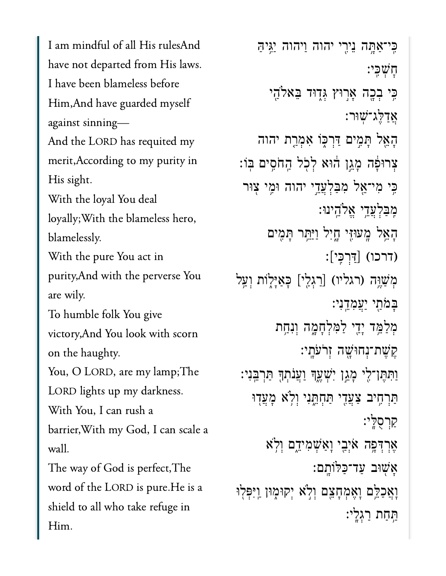I am mindful of all His rulesAnd have not departed from His laws. I have been blameless before Him,And have guarded myself against sinning— And the LORD has requited my merit,According to my purity in His sight. With the loyal You deal loyally;With the blameless hero, blamelessly. With the pure You act in purity,And with the perverse You are wily. To humble folk You give victory,And You look with scorn on the haughty. You, O LORD, are my lamp;The LORD lights up my darkness. With You, I can rush a barrier,With my God, I can scale a wall. The way of God is perfect,The word of the LORD is pure.He is a shield to all who take refuge in Him.

ִּֽכי־ַאָּ֥תה ֵניִ֖רי יהוה ַויהוה ַיִּ֥גיַּה ׇחְׁשִּֽכי׃ ּבִּי בְכֶה אֲרִוּץ גְּדָוּד בֵּאלֹהַי ָ<u>אַדַקָ<sup>י</sup>ג־שוּר:</u> ָהֵ֖אל ָּתִ֣מים ַּדְרּ֑כֹו ִאְמַ֤רת יהוה ִצְרוּפָּה מֲגֵן הוּא לְכְל הֲחֹסֵים בִּוֹ: ִּ֥כי ִמי־ֵ֖אל ִמַּבְלֲעֵ֣די יהוה ּוִ֥מי ֖צּור ִֽמַּבְלֲעֵ֥די ֱאֹלֵֽהינּו׃ הָאֵל מֵעּוּזִי חֵיִל וַיַּחֵר תַּמִים  $\lceil \frac{1}{2} \rceil$   $\lceil \frac{1}{2} \rceil$ : מִשֵׁוֵּה (רגליו) [רַגְלֵי] כְּאַיְלֶוֹת וְעַ<sup>ָ</sup>ל ַבַּמֹּתֵי יַעֲמִדֶנִי: מִלַּמֵּ֣ד יָדֵי לַמְּלְחָמָה וְנִחֵ֣ת ֶקֶׁשת־ְנחּוָׁ֖שה ְזֹרֹעָֽתי׃ ַוְּתִּתֵּן־לֵי מָגֵן יִשְׁעֵךְ וַעֲנֹתְךָּ תַּרְבֵּנִי: ַתַּרְחֶיב צַעֲדֶי תַּחָתֶּנִי וִלְא מָעֲדְוּ ַקְרֻסָּֽלי׃  $i$ אְרְדְּפֶה אֹיְבִי וָאַשִׁמִיֵּדֵם וִלְא ָאׁ֖שּוב ַעד־ַּכּלֹוָֽתם׃ וָאֲכַלֵּם וָאֶמְחָצֵם וְלָא יְקוּמֶוּן וַיִּפְּלִוּ ּתַחת רגָלֵי: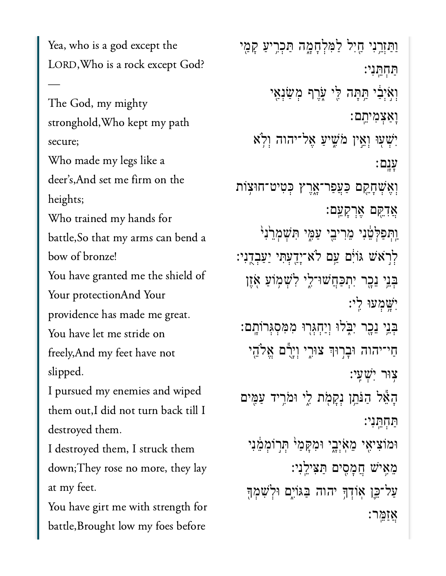Yea, who is a god except the LORD,Who is a rock except God?

—

The God, my mighty stronghold,Who kept my path secure; Who made my legs like a deer's,And set me firm on the heights; Who trained my hands for battle,So that my arms can bend a bow of bronze! You have granted me the shield of Your protectionAnd Your providence has made me great. You have let me stride on freely,And my feet have not slipped. I pursued my enemies and wiped them out,I did not turn back till I destroyed them. I destroyed them, I struck them down;They rose no more, they lay at my feet.

You have girt me with strength for battle,Brought low my foes before

וַתַּזְרֵנִי חֵיִל לַמְּלְחָמֶה תַּכְרִיעַ קָמַי ַּתְחֵּֽתִני׃ וְאִיִּבִּ֫י הַתַּה לֵי עָרֵף מְשָׂנָאֵי ָוַאְצִמיֵֽתם׃ יִשְׁעָוּ וְאֵין מֹּשִׁיעַ אֵל־יהוה וְלֹא ָעָֽנם׃ ְוֶאְׁשָחֵ֖קם ַּכֲעַפר־ָ֑אֶרץ ְּכִטיט־חּו֥צֹות ֲאִדֵּ֖קם ֶאְרָקֵֽעם׃ וַּתִּפַּלְטֵ֫נִי מֵרִי**ּבֵי עַמֶּי תִּשְׁמְרֵ**ٰנִי<sub>ּ</sub> ֿלִרֹא<sup>ָ</sup>שׁ גּוֹיִם עַם לֹא־יָדֻעְתִּי יַעַבְדֻנִי בְּבֵי ֵנִכָּר יִתְכַּחֲשׁוּ־לֵי לִשְׁמְוֹעַ אָזֵן ִיָּׁ֥שְמעּו ִֽלי׃ ְּבֵ֥ני ֵנָ֖כר ִיֹּ֑בלּו ְוַיְחְּג֖רּו ִמִּמְסְּגרֹוָֽתם׃ ַחַי־יהוה וּבְרִוּךְ צוּרֵי וְיָרָם אֵלֹהֵי ֥צּור ִיְׁשִֽעי׃ ָהֵ֕אל ַהֹּנֵ֥תן ְנָקֹ֖מת ִ֑לי ּוֹמִ֥ריד ַעִּ֖מים ַּתְחֵּֽתִני׃ וּמוֹצִיאָי מֵאִיְבֵי וּמִקָּמַיׁ תְּרִוֹמְמֵנִי ֵמִ֥איׁש ֲחָמִ֖סים ַּתִּציֵֽלִני׃ ַעַל־כֵּן אִוֹדְךָּ יהוה בַּגּוֹיִם וּלְשָׁמְךָ ְאַזְמֵר: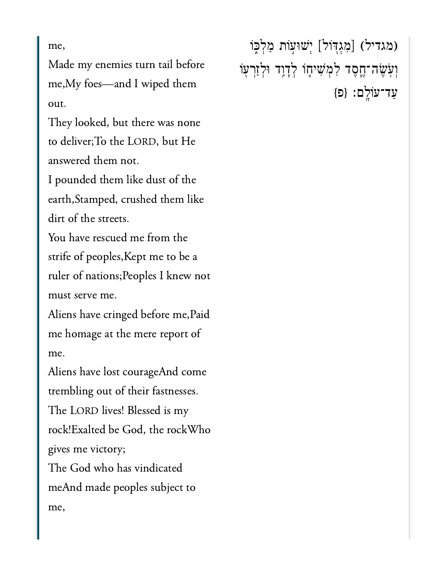me,

Made my enemies turn tail before me,My foes—and I wiped them out.

They looked, but there was none to deliver;To the LORD, but He answered them not.

I pounded them like dust of the earth,Stamped, crushed them like dirt of the streets.

You have rescued me from the strife of peoples,Kept me to be a ruler of nations;Peoples I knew not must serve me.

Aliens have cringed before me,Paid me homage at the mere report of me.

Aliens have lost courageAnd come trembling out of their fastnesses. The LORD lives! Blessed is my rock!Exalted be God, the rockWho gives me victory; The God who has vindicated meAnd made peoples subject to me,

(מגדיל) [מִגְדִּוֹל] יְשׁוּעָוֹת מַלְכֶּוֹ וְעְׂשֶׂה־חֱסָד לִמְּשִׁיחֶוֹ לְדָוֶד וּלְזַרְעָוֹ ַעד־עֹוָֽלם׃ }פ{